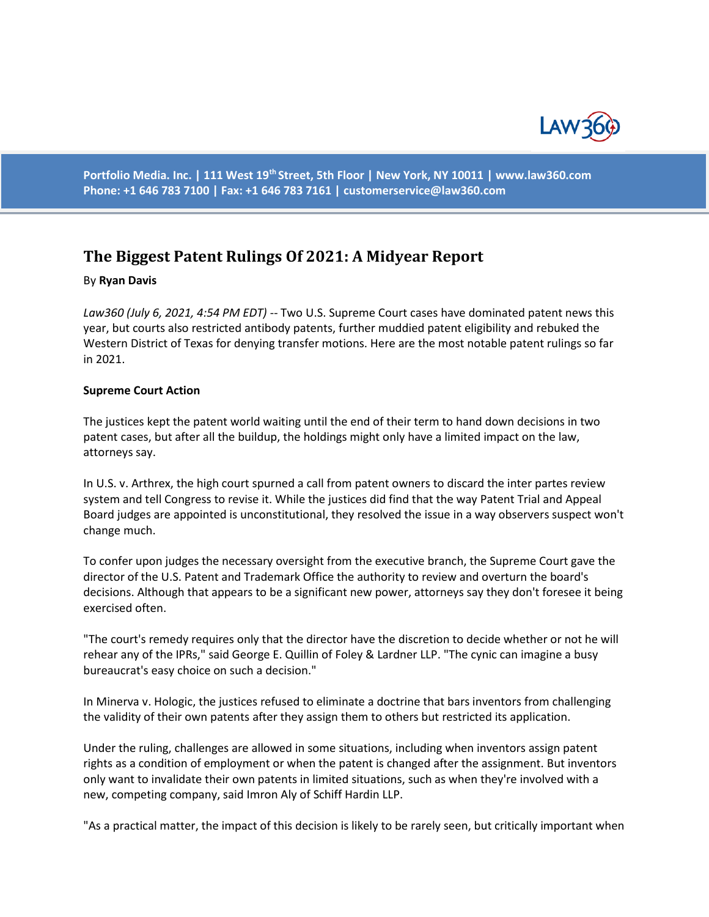

**Portfolio Media. Inc. | 111 West 19th Street, 5th Floor | New York, NY 10011 | www.law360.com Phone: +1 646 783 7100 | Fax: +1 646 783 7161 | customerservice@law360.com**

# **The Biggest Patent Rulings Of 2021: A Midyear Report**

#### By **Ryan Davis**

Law360 (July 6, 2021, 4:54 PM EDT) -- Two U.S. Supreme Court cases have dominated patent news this year, but courts also restricted antibody patents, further muddied patent eligibility and rebuked the Western District of Texas for denying transfer motions. Here are the most notable patent rulings so far in 2021.

#### **Supreme Court Action**

The justices kept the patent world waiting until the end of their term to hand down decisions in two patent cases, but after all the buildup, the holdings might only have a limited impact on the law, attorneys say.

In U.S. v. Arthrex, the high court spurned a call from patent owners to discard the inter partes review system and tell Congress to revise it. While the justices did find that the way Patent Trial and Appeal Board judges are appointed is unconstitutional, they resolved the issue in a way observers suspect won't change much.

To confer upon judges the necessary oversight from the executive branch, the Supreme Court gave the director of the U.S. Patent and Trademark Office the authority to review and overturn the board's decisions. Although that appears to be a significant new power, attorneys say they don't foresee it being exercised often.

"The court's remedy requires only that the director have the discretion to decide whether or not he will rehear any of the IPRs," said George E. Quillin of Foley & Lardner LLP. "The cynic can imagine a busy bureaucrat's easy choice on such a decision."

In Minerva v. Hologic, the justices refused to eliminate a doctrine that bars inventors from challenging the validity of their own patents after they assign them to others but restricted its application.

Under the ruling, challenges are allowed in some situations, including when inventors assign patent rights as a condition of employment or when the patent is changed after the assignment. But inventors only want to invalidate their own patents in limited situations, such as when they're involved with a new, competing company, said Imron Aly of Schiff Hardin LLP.

"As a practical matter, the impact of this decision is likely to be rarely seen, but critically important when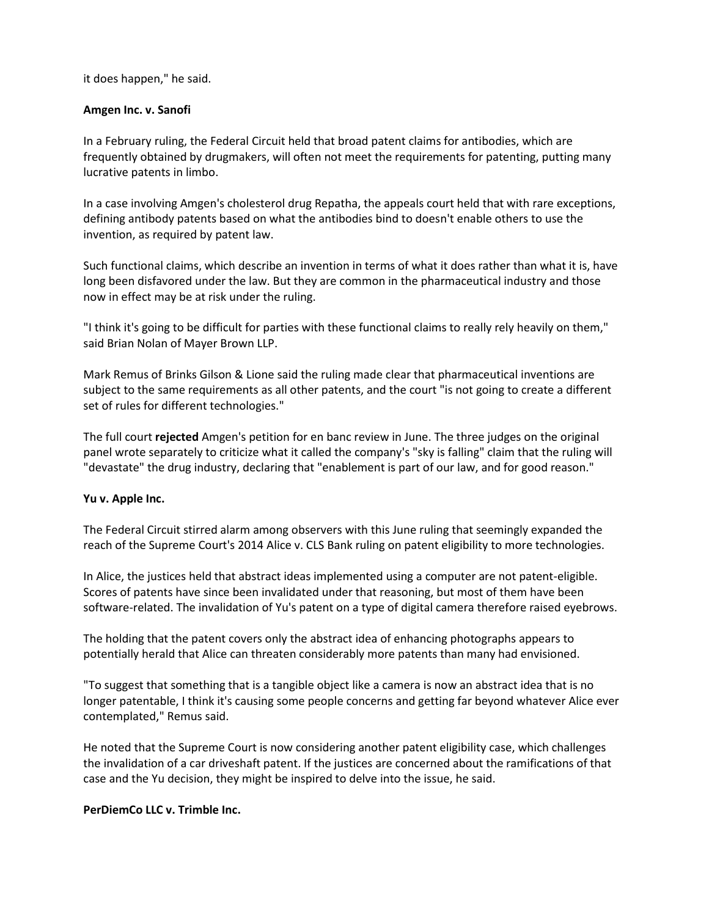it does happen," he said.

### **Amgen Inc. v. Sanofi**

In a February ruling, the Federal Circuit held that broad patent claims for antibodies, which are frequently obtained by drugmakers, will often not meet the requirements for patenting, putting many lucrative patents in limbo.

In a case involving Amgen's cholesterol drug Repatha, the appeals court held that with rare exceptions, defining antibody patents based on what the antibodies bind to doesn't enable others to use the invention, as required by patent law.

Such functional claims, which describe an invention in terms of what it does rather than what it is, have long been disfavored under the law. But they are common in the pharmaceutical industry and those now in effect may be at risk under the ruling.

"I think it's going to be difficult for parties with these functional claims to really rely heavily on them," said Brian Nolan of Mayer Brown LLP.

Mark Remus of Brinks Gilson & Lione said the ruling made clear that pharmaceutical inventions are subject to the same requirements as all other patents, and the court "is not going to create a different set of rules for different technologies."

The full court **rejected** Amgen's petition for en banc review in June. The three judges on the original panel wrote separately to criticize what it called the company's "sky is falling" claim that the ruling will "devastate" the drug industry, declaring that "enablement is part of our law, and for good reason."

### **Yu v. Apple Inc.**

The Federal Circuit stirred alarm among observers with this June ruling that seemingly expanded the reach of the Supreme Court's 2014 Alice v. CLS Bank ruling on patent eligibility to more technologies.

In Alice, the justices held that abstract ideas implemented using a computer are not patent-eligible. Scores of patents have since been invalidated under that reasoning, but most of them have been software-related. The invalidation of Yu's patent on a type of digital camera therefore raised eyebrows.

The holding that the patent covers only the abstract idea of enhancing photographs appears to potentially herald that Alice can threaten considerably more patents than many had envisioned.

"To suggest that something that is a tangible object like a camera is now an abstract idea that is no longer patentable, I think it's causing some people concerns and getting far beyond whatever Alice ever contemplated," Remus said.

He noted that the Supreme Court is now considering another patent eligibility case, which challenges the invalidation of a car driveshaft patent. If the justices are concerned about the ramifications of that case and the Yu decision, they might be inspired to delve into the issue, he said.

### **PerDiemCo LLC v. Trimble Inc.**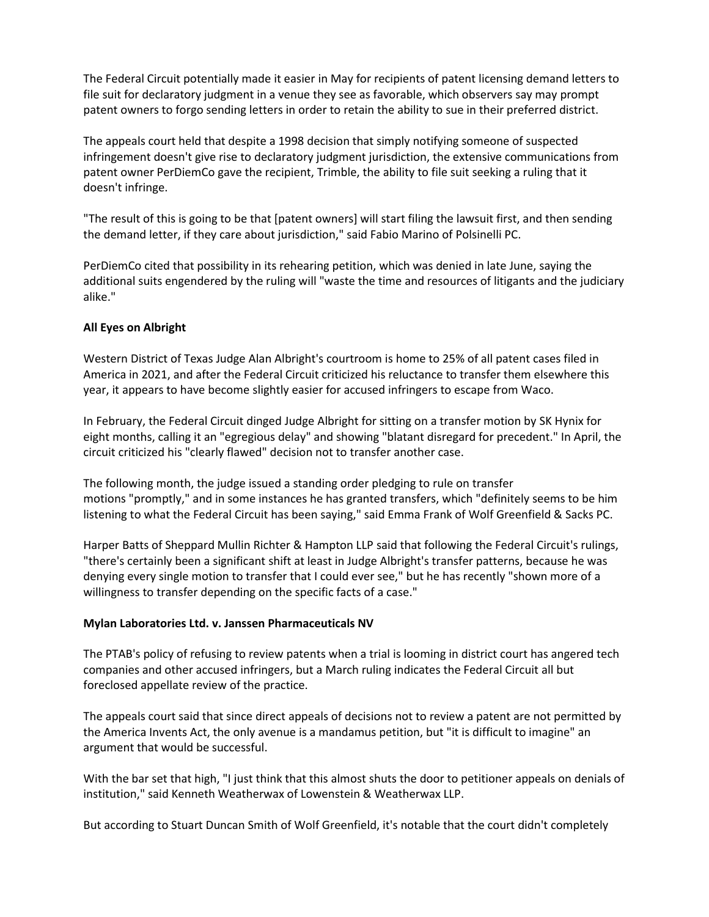The Federal Circuit potentially made it easier in May for recipients of patent licensing demand letters to file suit for declaratory judgment in a venue they see as favorable, which observers say may prompt patent owners to forgo sending letters in order to retain the ability to sue in their preferred district.

The appeals court held that despite a 1998 decision that simply notifying someone of suspected infringement doesn't give rise to declaratory judgment jurisdiction, the extensive communications from patent owner PerDiemCo gave the recipient, Trimble, the ability to file suit seeking a ruling that it doesn't infringe.

"The result of this is going to be that [patent owners] will start filing the lawsuit first, and then sending the demand letter, if they care about jurisdiction," said Fabio Marino of Polsinelli PC.

PerDiemCo cited that possibility in its rehearing petition, which was denied in late June, saying the additional suits engendered by the ruling will "waste the time and resources of litigants and the judiciary alike."

## **All Eyes on Albright**

Western District of Texas Judge Alan Albright's courtroom is home to 25% of all patent cases filed in America in 2021, and after the Federal Circuit criticized his reluctance to transfer them elsewhere this year, it appears to have become slightly easier for accused infringers to escape from Waco.

In February, the Federal Circuit dinged Judge Albright for sitting on a transfer motion by SK Hynix for eight months, calling it an "egregious delay" and showing "blatant disregard for precedent." In April, the circuit criticized his "clearly flawed" decision not to transfer another case.

The following month, the judge issued a standing order pledging to rule on transfer motions "promptly," and in some instances he has granted transfers, which "definitely seems to be him listening to what the Federal Circuit has been saying," said Emma Frank of Wolf Greenfield & Sacks PC.

Harper Batts of Sheppard Mullin Richter & Hampton LLP said that following the Federal Circuit's rulings, "there's certainly been a significant shift at least in Judge Albright's transfer patterns, because he was denying every single motion to transfer that I could ever see," but he has recently "shown more of a willingness to transfer depending on the specific facts of a case."

### **Mylan Laboratories Ltd. v. Janssen Pharmaceuticals NV**

The PTAB's policy of refusing to review patents when a trial is looming in district court has angered tech companies and other accused infringers, but a March ruling indicates the Federal Circuit all but foreclosed appellate review of the practice.

The appeals court said that since direct appeals of decisions not to review a patent are not permitted by the America Invents Act, the only avenue is a mandamus petition, but "it is difficult to imagine" an argument that would be successful.

With the bar set that high, "I just think that this almost shuts the door to petitioner appeals on denials of institution," said Kenneth Weatherwax of Lowenstein & Weatherwax LLP.

But according to Stuart Duncan Smith of Wolf Greenfield, it's notable that the court didn't completely